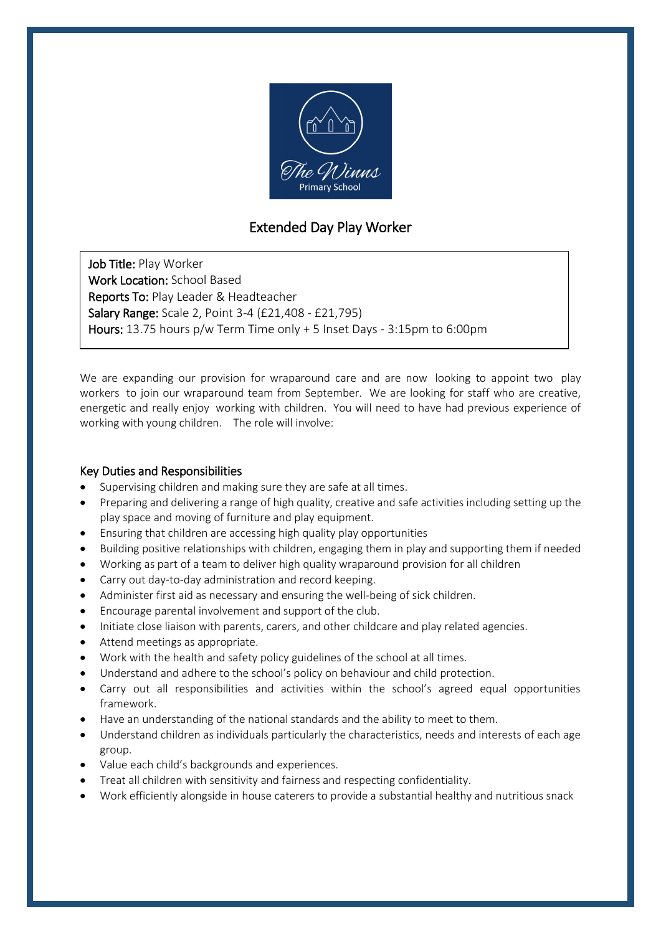

## Extended Day Play Worker

Job Title: Play Worker Work Location: School Based Reports To: Play Leader & Headteacher Salary Range: Scale 2, Point 3-4 (£21,408 - £21,795) Hours: 13.75 hours p/w Term Time only + 5 Inset Days - 3:15pm to 6:00pm

We are expanding our provision for wraparound care and are now looking to appoint two play workers to join our wraparound team from September. We are looking for staff who are creative, energetic and really enjoy working with children. You will need to have had previous experience of working with young children. The role will involve:

## Key Duties and Responsibilities

- Supervising children and making sure they are safe at all times.
- Preparing and delivering a range of high quality, creative and safe activities including setting up the play space and moving of furniture and play equipment.
- Ensuring that children are accessing high quality play opportunities
- Building positive relationships with children, engaging them in play and supporting them if needed
- Working as part of a team to deliver high quality wraparound provision for all children
- Carry out day-to-day administration and record keeping.
- Administer first aid as necessary and ensuring the well-being of sick children.
- Encourage parental involvement and support of the club.
- Initiate close liaison with parents, carers, and other childcare and play related agencies.
- Attend meetings as appropriate.
- Work with the health and safety policy guidelines of the school at all times.
- Understand and adhere to the school's policy on behaviour and child protection.
- Carry out all responsibilities and activities within the school's agreed equal opportunities framework.
- Have an understanding of the national standards and the ability to meet to them.
- Understand children as individuals particularly the characteristics, needs and interests of each age group.
- Value each child's backgrounds and experiences.
- Treat all children with sensitivity and fairness and respecting confidentiality.
- Work efficiently alongside in house caterers to provide a substantial healthy and nutritious snack